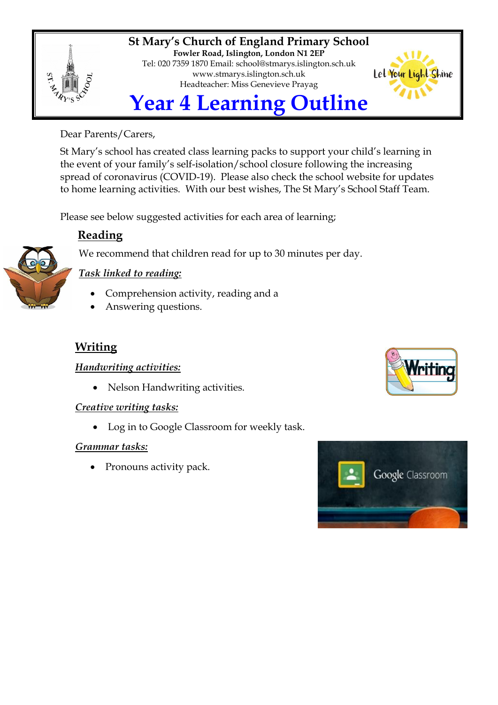

**St Mary's Church of England Primary School Fowler Road, Islington, London N1 2EP** Tel: 020 7359 1870 Email: [school@stmarys.islington.sch.uk](mailto:school@stmarys.islington.sch.uk) [www.stmarys.islington.sch.uk](http://www.stmarys.islington.sch.uk/) Headteacher: Miss Genevieve Prayag



# Dear Parents/Carers,

St Mary's school has created class learning packs to support your child's learning in the event of your family's self-isolation/school closure following the increasing spread of coronavirus (COVID-19). Please also check the school website for updates to home learning activities. With our best wishes, The St Mary's School Staff Team.

Please see below suggested activities for each area of learning;

# **Reading**

We recommend that children read for up to 30 minutes per day.



# *Task linked to reading:*

- Comprehension activity, reading and a
- Answering questions.

# **Writing**

## *Handwriting activities:*

• Nelson Handwriting activities.

## *Creative writing tasks:*

Log in to Google Classroom for weekly task.

## *Grammar tasks:*

• Pronouns activity pack.



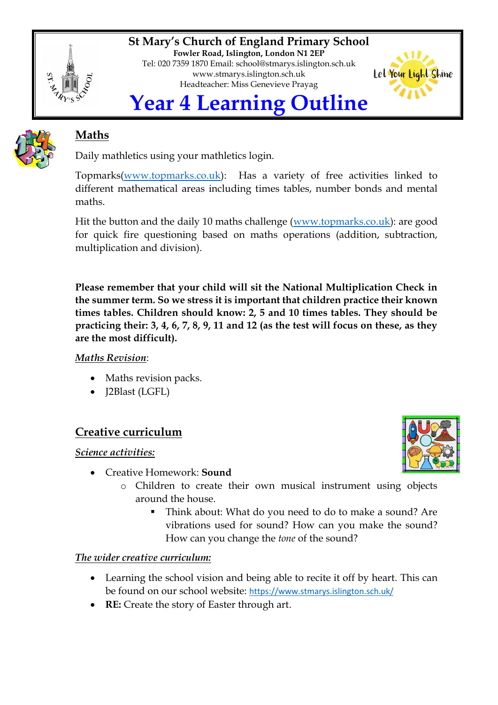

**St Mary's Church of England Primary School Fowler Road, Islington, London N1 2EP** Tel: 020 7359 1870 Email: [school@stmarys.islington.sch.uk](mailto:school@stmarys.islington.sch.uk) [www.stmarys.islington.sch.uk](http://www.stmarys.islington.sch.uk/) Headteacher: Miss Genevieve Prayag



# **Maths**

Daily mathletics using your mathletics login.

Topmarks[\(www.topmarks.co.uk\)](http://www.topmarks.co.uk/): Has a variety of free activities linked to different mathematical areas including times tables, number bonds and mental maths.

Hit the button and the daily 10 maths challenge [\(www.topmarks.co.uk\)](http://www.topmarks.co.uk/): are good for quick fire questioning based on maths operations (addition, subtraction, multiplication and division).

**Please remember that your child will sit the National Multiplication Check in the summer term. So we stress it is important that children practice their known times tables. Children should know: 2, 5 and 10 times tables. They should be practicing their: 3, 4, 6, 7, 8, 9, 11 and 12 (as the test will focus on these, as they are the most difficult).** 

## *Maths Revision*:

- Maths revision packs.
- J2Blast (LGFL)

# **Creative curriculum**

#### *Science activities:*

- Creative Homework: **Sound**
	- o Children to create their own musical instrument using objects around the house.
		- Think about: What do you need to do to make a sound? Are vibrations used for sound? How can you make the sound? How can you change the *tone* of the sound?

## *The wider creative curriculum:*

- Learning the school vision and being able to recite it off by heart. This can be found on our school website: <https://www.stmarys.islington.sch.uk/>
- **RE:** Create the story of Easter through art.